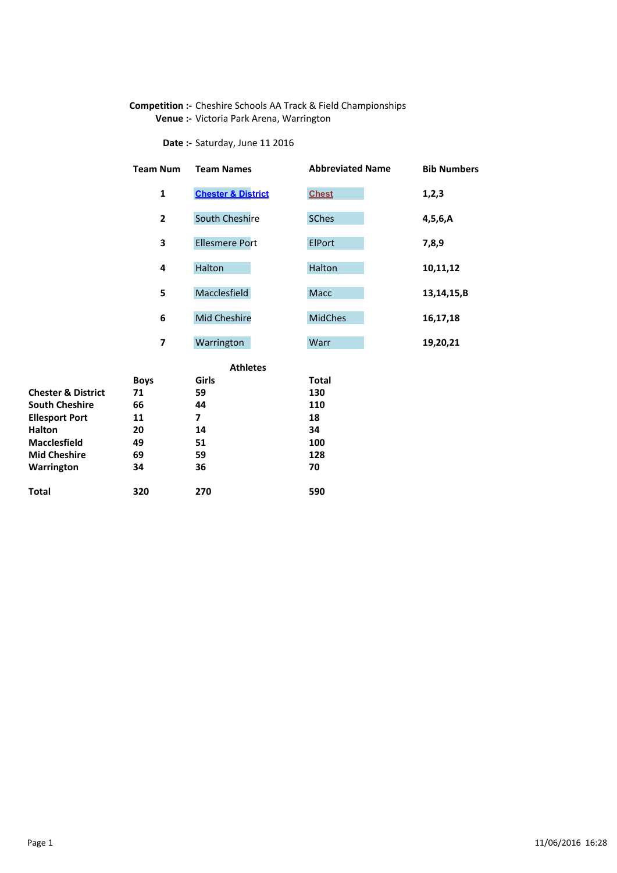## Competition :- Cheshire Schools AA Track & Field Championships Venue :- Victoria Park Arena, Warrington

Date :- Saturday, June 11 2016

| <b>Team Num</b> | <b>Team Names</b>             | <b>Abbreviated Name</b> | <b>Bib Numbers</b> |
|-----------------|-------------------------------|-------------------------|--------------------|
| $\mathbf{1}$    | <b>Chester &amp; District</b> | <b>Chest</b>            | 1,2,3              |
| $\mathbf{2}$    | <b>South Cheshire</b>         | <b>SChes</b>            | 4,5,6,A            |
| 3               | <b>Ellesmere Port</b>         | <b>ElPort</b>           | 7,8,9              |
| 4               | Halton                        | Halton                  | 10,11,12           |
| 5               | Macclesfield                  | Macc                    | 13,14,15,B         |
| 6               | Mid Cheshire                  | <b>MidChes</b>          | 16,17,18           |
| 7               | Warrington                    | Warr                    | 19,20,21           |
|                 | <b>Athletes</b>               |                         |                    |
| <b>Boys</b>     | Girls                         | <b>Total</b>            |                    |
| 71              | 59                            | 130                     |                    |
| 66              | 44                            | 110                     |                    |
| 11              | 7                             | 18                      |                    |

|                               | ---- | ----- | .   |
|-------------------------------|------|-------|-----|
| <b>Chester &amp; District</b> | 71   | 59    | 130 |
| <b>South Cheshire</b>         | 66   | 44    | 110 |
| <b>Ellesport Port</b>         | 11   | 7     | 18  |
| <b>Halton</b>                 | 20   | 14    | 34  |
| <b>Macclesfield</b>           | 49   | 51    | 100 |
| <b>Mid Cheshire</b>           | 69   | 59    | 128 |
| Warrington                    | 34   | 36    | 70  |
|                               |      |       |     |
| <b>Total</b>                  | 320  | 270   | 590 |
|                               |      |       |     |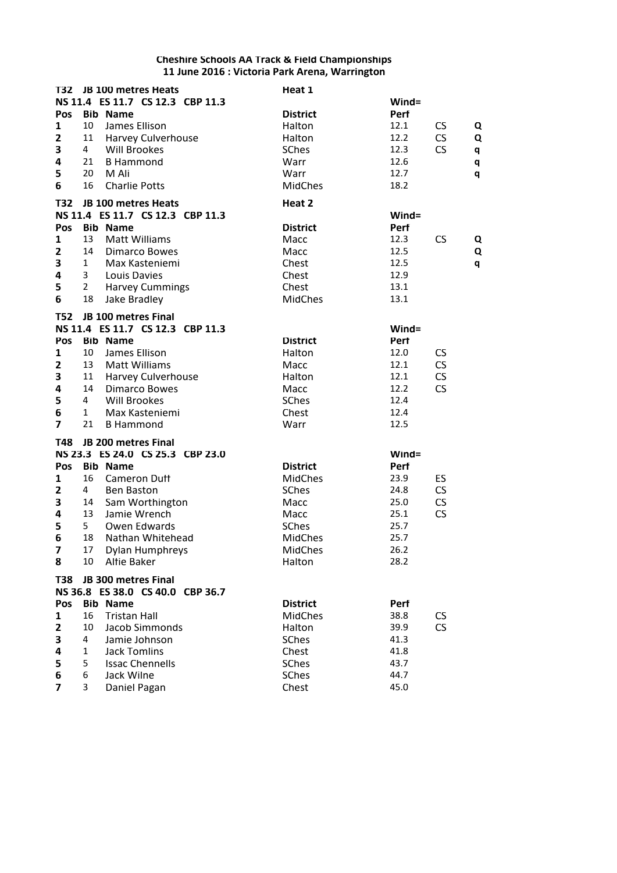| T32                     |                | JB 100 metres Heats              | Heat 1          |       |           |   |
|-------------------------|----------------|----------------------------------|-----------------|-------|-----------|---|
|                         |                | NS 11.4 ES 11.7 CS 12.3 CBP 11.3 |                 | Wind= |           |   |
| <b>Pos</b>              |                | <b>Bib Name</b>                  | <b>District</b> | Perf  |           |   |
| $\mathbf{1}$            | 10             | James Ellison                    | Halton          | 12.1  | CS        | Q |
| $\mathbf{z}$            | 11             | <b>Harvey Culverhouse</b>        | Halton          | 12.2  | <b>CS</b> | Q |
| 3                       | 4              | <b>Will Brookes</b>              | <b>SChes</b>    | 12.3  | <b>CS</b> | q |
| 4                       | 21             | <b>B Hammond</b>                 | Warr            | 12.6  |           | q |
| 5                       | 20             | M Ali                            | Warr            | 12.7  |           | q |
| 6                       | 16             | <b>Charlie Potts</b>             | MidChes         | 18.2  |           |   |
| T32                     |                | JB 100 metres Heats              | Heat 2          |       |           |   |
|                         |                | NS 11.4 ES 11.7 CS 12.3 CBP 11.3 |                 | Wind= |           |   |
| Pos                     |                | <b>Bib Name</b>                  | <b>District</b> | Perf  |           |   |
| 1                       | 13             | <b>Matt Williams</b>             | Macc            | 12.3  | CS        | Q |
| $\mathbf{z}$            | 14             | <b>Dimarco Bowes</b>             | Macc            | 12.5  |           | Q |
| 3                       | $\mathbf{1}$   | Max Kasteniemi                   | Chest           | 12.5  |           | q |
| 4                       | 3              | Louis Davies                     | Chest           | 12.9  |           |   |
| 5                       | $\overline{2}$ | <b>Harvey Cummings</b>           | Chest           | 13.1  |           |   |
| 6                       | 18             | Jake Bradley                     | <b>MidChes</b>  | 13.1  |           |   |
| T52                     |                | JB 100 metres Final              |                 |       |           |   |
|                         |                | NS 11.4 ES 11.7 CS 12.3 CBP 11.3 |                 | Wind= |           |   |
| Pos                     |                | <b>Bib Name</b>                  | <b>District</b> | Perf  |           |   |
| 1                       | 10             | James Ellison                    | Halton          | 12.0  | CS.       |   |
| 2                       | 13             | <b>Matt Williams</b>             | Macc            | 12.1  | CS        |   |
| 3                       | 11             | Harvey Culverhouse               | Halton          | 12.1  | CS        |   |
| 4                       | 14             | <b>Dimarco Bowes</b>             | Macc            | 12.2  | CS        |   |
| 5                       | 4              | <b>Will Brookes</b>              | <b>SChes</b>    | 12.4  |           |   |
| 6                       | $\mathbf{1}$   | Max Kasteniemi                   | Chest           | 12.4  |           |   |
| $\overline{7}$          | 21             | <b>B</b> Hammond                 | Warr            | 12.5  |           |   |
| <b>T48</b>              |                | JB 200 metres Final              |                 |       |           |   |
|                         |                | NS 23.3 ES 24.0 CS 25.3 CBP 23.0 |                 | Wind= |           |   |
| Pos                     |                | <b>Bib Name</b>                  | <b>District</b> | Perf  |           |   |
| 1                       | 16             | <b>Cameron Duff</b>              | <b>MidChes</b>  | 23.9  | ES        |   |
| $\mathbf{2}$            | 4              | <b>Ben Baston</b>                | <b>SChes</b>    | 24.8  | <b>CS</b> |   |
| 3                       | 14             | Sam Worthington                  | Macc            | 25.0  | CS        |   |
| 4                       | 13             | Jamie Wrench                     | Macc            | 25.1  | CS        |   |
| 5                       | 5              | Owen Edwards                     | <b>SChes</b>    | 25.7  |           |   |
| 6                       | 18             | Nathan Whitehead                 | <b>MidChes</b>  | 25.7  |           |   |
| $\overline{\mathbf{z}}$ |                | 17 Dylan Humphreys               | MidChes         | 26.2  |           |   |
| 8                       | 10             | <b>Altie Baker</b>               | Halton          | 28.2  |           |   |
| <b>T38</b>              |                | JB 300 metres Final              |                 |       |           |   |
|                         |                | NS 36.8 ES 38.0 CS 40.0 CBP 36.7 |                 |       |           |   |
| Pos                     |                | <b>Bib Name</b>                  | <b>District</b> | Perf  |           |   |
| 1                       | 16             | <b>Tristan Hall</b>              | <b>MidChes</b>  | 38.8  | <b>CS</b> |   |
| 2                       | 10             | <b>Jacob Simmonds</b>            | Halton          | 39.9  | CS        |   |
| 3                       | 4              | Jamie Johnson                    | <b>SChes</b>    | 41.3  |           |   |
| 4                       | 1              | <b>Jack Tomlins</b>              | Chest           | 41.8  |           |   |
| 5                       | 5              | <b>Issac Chennells</b>           | <b>SChes</b>    | 43.7  |           |   |
| 6                       | 6              | Jack Wilne                       | <b>SChes</b>    | 44.7  |           |   |
| $\overline{7}$          | 3              | Daniel Pagan                     | Chest           | 45.0  |           |   |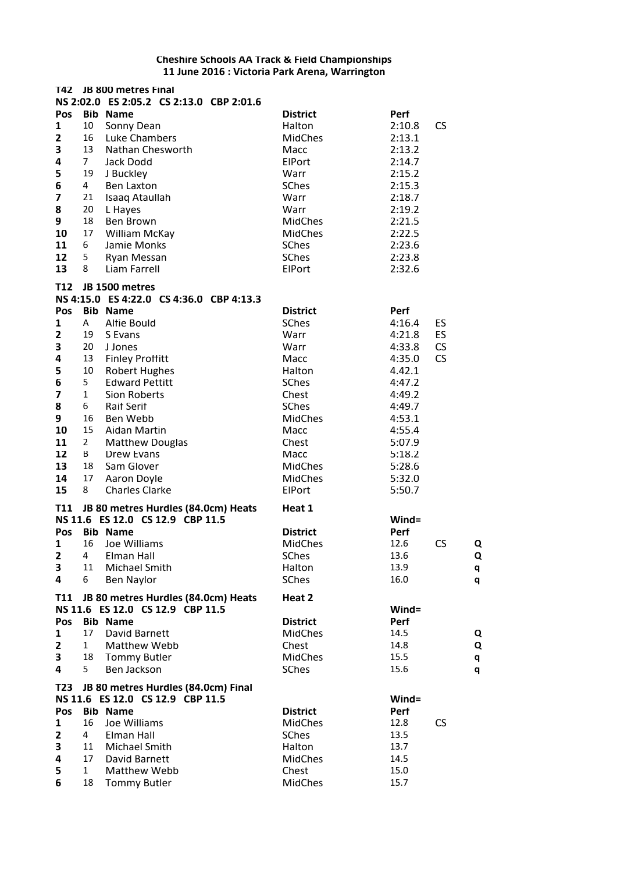| T42             |                | JB 800 metres Final                      |                 |             |           |
|-----------------|----------------|------------------------------------------|-----------------|-------------|-----------|
|                 |                | NS 2:02.0 ES 2:05.2 CS 2:13.0 CBP 2:01.6 |                 |             |           |
| Pos             |                | <b>Bib Name</b>                          | <b>District</b> | Perf        |           |
| 1               | 10             | Sonny Dean                               | Halton          | 2:10.8      | <b>CS</b> |
| $\overline{2}$  | 16             | Luke Chambers                            | <b>MidChes</b>  | 2:13.1      |           |
| 3               | 13             | Nathan Chesworth                         | Macc            | 2:13.2      |           |
| 4               | 7 <sup>1</sup> | Jack Dodd                                | ElPort          | 2:14.7      |           |
| 5               | 19             | J Buckley                                | Warr            | 2:15.2      |           |
| 6               | 4              | <b>Ben Laxton</b>                        | <b>SChes</b>    | 2:15.3      |           |
| 7               | 21             | Isaaq Ataullah                           | Warr            | 2:18.7      |           |
| 8               | 20             | L Hayes                                  | Warr            | 2:19.2      |           |
| 9               | 18             | Ben Brown                                | <b>MidChes</b>  | 2:21.5      |           |
| 10              | 17             | William McKay                            | <b>MidChes</b>  | 2:22.5      |           |
| 11              | 6              | Jamie Monks                              | <b>SChes</b>    | 2:23.6      |           |
| 12              | 5              | Ryan Messan                              | <b>SChes</b>    | 2:23.8      |           |
| 13              | 8              | Liam Farrell                             | ElPort          | 2:32.6      |           |
| T <sub>12</sub> |                | JB 1500 metres                           |                 |             |           |
|                 |                | NS 4:15.0 ES 4:22.0 CS 4:36.0 CBP 4:13.3 |                 |             |           |
| Pos             |                | <b>Bib Name</b>                          | <b>District</b> | <b>Perf</b> |           |
| 1               | Α              | <b>Altie Bould</b>                       | <b>SChes</b>    | 4:16.4      | ES        |
| 2               | 19             | S Evans                                  | Warr            | 4:21.8      | ES        |
| 3               | 20             | J Jones                                  | Warr            | 4:33.8      | <b>CS</b> |
| 4               | 13             | <b>Finley Proffitt</b>                   | Macc            | 4:35.0      | <b>CS</b> |
| 5               | 10             | <b>Robert Hughes</b>                     | Halton          | 4.42.1      |           |
| 6               | 5              | <b>Edward Pettitt</b>                    | <b>SChes</b>    | 4:47.2      |           |
| 7               | $\mathbf{1}$   | Sion Roberts                             | Chest           | 4:49.2      |           |
| 8               | 6              | <b>Rait Serit</b>                        | <b>SChes</b>    | 4:49.7      |           |
| 9               | 16             | Ben Webb                                 | <b>MidChes</b>  | 4:53.1      |           |
| 10              | 15             | Aidan Martin                             | Macc            | 4:55.4      |           |
| 11              | $\overline{2}$ | <b>Matthew Douglas</b>                   | Chest           | 5:07.9      |           |
| 12              | B              | Drew Evans                               | Macc            | 5:18.2      |           |
| 13              | 18             | Sam Glover                               | <b>MidChes</b>  | 5:28.6      |           |
| 14              | 17             | Aaron Doyle                              | <b>MidChes</b>  | 5:32.0      |           |
| 15              | 8              | <b>Charles Clarke</b>                    | ElPort          | 5:50.7      |           |
| T11             |                | JB 80 metres Hurdles (84.0cm) Heats      | Heat 1          |             |           |
|                 |                | NS 11.6 ES 12.0 CS 12.9 CBP 11.5         |                 | Wind=       |           |
| Pos             |                | <b>Bib Name</b>                          | <b>District</b> | Perf        |           |
| 1               | 16             | Joe Williams                             | <b>MidChes</b>  | 12.6        | CS<br>Q   |
| $\mathbf{2}$    | 4              | Elman Hall                               | <b>SChes</b>    | 13.6        | Q         |
| 3               | 11             | Michael Smith                            | Halton          | 13.9        | q         |
| 4               | 6              | Ben Naylor                               | <b>SChes</b>    | 16.0        | q         |
| <b>T11</b>      |                | JB 80 metres Hurdles (84.0cm) Heats      | Heat 2          |             |           |
|                 |                | NS 11.6 ES 12.0 CS 12.9 CBP 11.5         |                 | Wind=       |           |
| Pos             |                | <b>Bib Name</b>                          | <b>District</b> | Perf        |           |
| 1               | 17             | David Barnett                            | <b>MidChes</b>  | 14.5        | Q         |
| 2               | 1              | Matthew Webb                             | Chest           | 14.8        | Q         |
| 3               | 18             | <b>Tommy Butler</b>                      | <b>MidChes</b>  | 15.5        | q         |
| 4               | 5              | Ben Jackson                              | <b>SChes</b>    | 15.6        | q         |
| T23             |                | JB 80 metres Hurdles (84.0cm) Final      |                 |             |           |
|                 |                | NS 11.6 ES 12.0 CS 12.9 CBP 11.5         |                 | Wind=       |           |
| Pos             |                | <b>Bib Name</b>                          | <b>District</b> | Perf        |           |
| $\mathbf{1}$    | 16             | Joe Williams                             | <b>MidChes</b>  | 12.8        | <b>CS</b> |
| $\mathbf{2}$    | 4              | Elman Hall                               | <b>SChes</b>    | 13.5        |           |
| 3               | 11             | <b>Michael Smith</b>                     | Halton          | 13.7        |           |
| 4               | 17             | David Barnett                            | <b>MidChes</b>  | 14.5        |           |
| 5               | $\mathbf{1}$   | Matthew Webb                             | Chest           | 15.0        |           |
| 6               | 18             | <b>Tommy Butler</b>                      | MidChes         | 15.7        |           |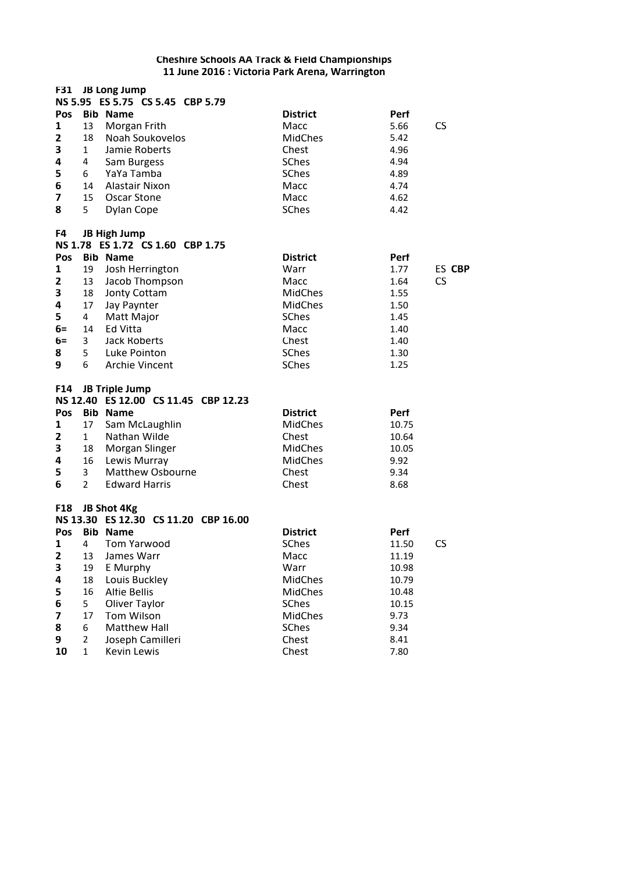|                              |                | F31 JB Long Jump                                        |                                |                           |  |
|------------------------------|----------------|---------------------------------------------------------|--------------------------------|---------------------------|--|
|                              |                | NS 5.95 ES 5.75 CS 5.45 CBP 5.79                        |                                |                           |  |
| Pos                          |                | <b>Bib Name</b>                                         | <b>District</b>                | Perf                      |  |
| 1<br>$\overline{\mathbf{z}}$ | 13<br>18       | Morgan Frith<br>Noah Soukovelos                         | Macc<br><b>MidChes</b>         | 5.66<br><b>CS</b><br>5.42 |  |
| 3                            | $\mathbf{1}$   | Jamie Roberts                                           | Chest                          | 4.96                      |  |
| 4                            | 4              | Sam Burgess                                             | <b>SChes</b>                   | 4.94                      |  |
| 5                            | 6              | YaYa Tamba                                              | <b>SChes</b>                   | 4.89                      |  |
| 6                            | 14             | Alastair Nixon                                          | Macc                           | 4.74                      |  |
| $\overline{7}$               | 15             | <b>Oscar Stone</b>                                      | Macc                           | 4.62                      |  |
| 8                            | 5              | Dylan Cope                                              | <b>SChes</b>                   | 4.42                      |  |
| F4                           |                | <b>JB High Jump</b><br>NS 1.78 ES 1.72 CS 1.60 CBP 1.75 |                                |                           |  |
| Pos                          |                | <b>Bib Name</b>                                         | <b>District</b>                | Perf                      |  |
| 1                            | 19             | Josh Herrington                                         | Warr                           | 1.77<br>ES CBP            |  |
| $\mathbf{2}$                 | 13             | Jacob Thompson                                          | Macc                           | <b>CS</b><br>1.64         |  |
| 3                            | 18             | Jonty Cottam                                            | <b>MidChes</b>                 | 1.55                      |  |
| 4                            | 17             | Jay Paynter                                             | <b>MidChes</b>                 | 1.50                      |  |
| 5                            | $\overline{4}$ | Matt Major                                              | <b>SChes</b>                   | 1.45                      |  |
| $6=$                         | 14             | Ed Vitta                                                | Macc                           | 1.40                      |  |
| $6=$                         | 3              | <b>Jack Roberts</b>                                     | Chest                          | 1.40                      |  |
| 8                            | 5              | Luke Pointon                                            | <b>SChes</b>                   | 1.30                      |  |
| 9                            | 6              | <b>Archie Vincent</b>                                   | <b>SChes</b>                   | 1.25                      |  |
| F14                          |                | <b>JB Triple Jump</b>                                   |                                |                           |  |
|                              |                | NS 12.40 ES 12.00 CS 11.45 CBP 12.23                    |                                |                           |  |
| Pos                          |                | <b>Bib Name</b>                                         | <b>District</b>                | Perf                      |  |
| 1                            | 17             | Sam McLaughlin                                          | <b>MidChes</b>                 | 10.75                     |  |
| 2                            | 1              | Nathan Wilde                                            | Chest                          | 10.64                     |  |
| 3                            | 18             | Morgan Slinger                                          | <b>MidChes</b>                 | 10.05                     |  |
| 4                            | 16             | Lewis Murray                                            | <b>MidChes</b>                 | 9.92                      |  |
| 5                            | 3              | <b>Matthew Osbourne</b>                                 | Chest                          | 9.34                      |  |
| 6                            | $\overline{2}$ | <b>Edward Harris</b>                                    | Chest                          | 8.68                      |  |
| <b>F18</b>                   |                | JB Shot 4Kg                                             |                                |                           |  |
|                              |                | NS 13.30 ES 12.30 CS 11.20 CBP 16.00                    |                                |                           |  |
| Pos                          |                | <b>Bib Name</b>                                         | <b>District</b>                | Perf                      |  |
| 1                            | $4 \quad$      | Tom Yarwood                                             | <b>SChes</b>                   | CS<br>11.50               |  |
| 2                            | 13             | James Warr                                              | Macc                           | 11.19                     |  |
| 3                            | 19             | E Murphy<br>Louis Buckley                               | Warr<br><b>MidChes</b>         | 10.98                     |  |
| 4                            | 18<br>16       |                                                         |                                | 10.79                     |  |
| 5                            | 5              | <b>Alfie Bellis</b><br>Oliver Taylor                    | <b>MidChes</b><br><b>SChes</b> | 10.48<br>10.15            |  |
| 6<br>7                       | 17             | Tom Wilson                                              | MidChes                        | 9.73                      |  |
| 8                            | 6              | <b>Matthew Hall</b>                                     | <b>SChes</b>                   | 9.34                      |  |
| 9                            | $\overline{2}$ | Joseph Camilleri                                        | Chest                          | 8.41                      |  |
| 10                           | $\mathbf{1}$   | Kevin Lewis                                             | Chest                          | 7.80                      |  |
|                              |                |                                                         |                                |                           |  |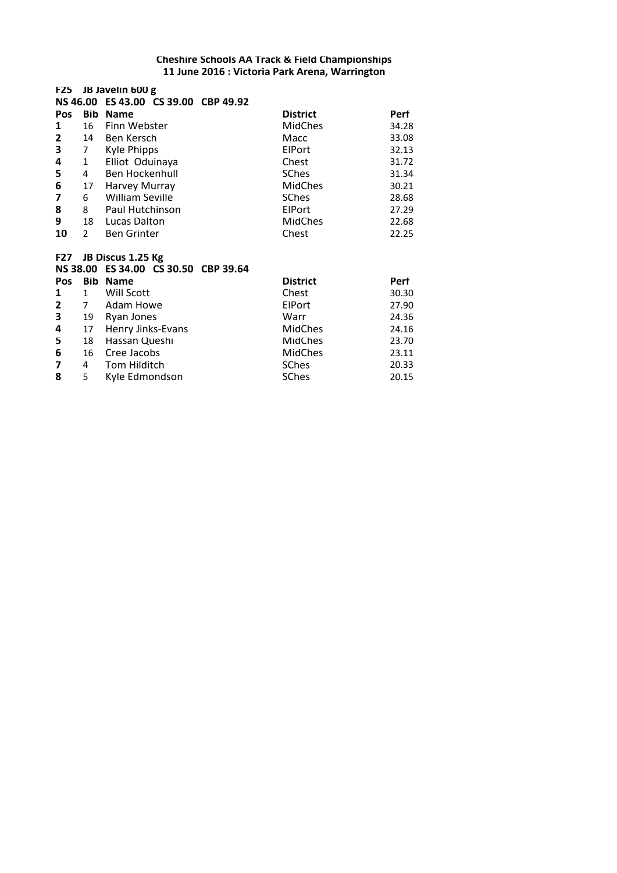# **F25 JB Javelin 600 g NS 46.00 ES 43.00 CS 39.00 CBP 49.92 Pos Bib Name District Perf**<br> **1** 16 Finn Webster **Perf MidChes** 34.28 **1** 16 Finn Webster **16 MidChes** 34.28<br> **2** 14 Ben Kersch **18 Macc** 33.08 **2** 14 Ben Kersch Macc 33.08<br> **3** 7 Kyle Phipps **12.13** ElPort 32.13 **3** 7 Kyle Phipps<br>**4** 1 Elliot Oduin 1 Elliot Oduinaya **Chest** 31.72 **5** 4 Ben Hockenhull **5** SChes 31.34 **6** 17 Harvey Murray MidChes 30.21 **7** 6 William Seville **1988 SChes** 28.68<br> **8** 8 Paul Hutchinson **1988 Elect** 27.29 **8** 8 Paul Hutchinson **ElPort** 27.29<br> **8** 18 Lucas Dalton **ElPort** MidChes 22.68 **9** 18 Lucas Dalton **MidChes** 22.68<br> **10** 2 Ben Grinter **10** Chest 22.25 **10** Ben Grinter **F27 JB Discus 1.25 Kg NS 38.00 ES 34.00 CS 30.50 CBP 39.64 Pos Bib Name District Perf 1** 1 Will Scott **1** Chest 30.30<br> **2** 7 Adam Howe **CHEST** ElPort 27.90 **2** 7 Adam Howe **ElPort** 27.90<br> **2** 19 Ryan Jones **24.36 3** 19 Ryan Jones Warr 24.36 **4** 17 Henry Jinks-Evans **MidChes** 24.16<br> **5** 18 Hassan Queshi **MidChes** 23.70

**5** 18 Hassan Queshi **18 Hassan Queshi** 23.70<br>16 Cree Jacobs 23.11 **6** 16 Cree Jacobs MidChes 23.11<br> **7** 4 Tom Hilditch SChes 20.33 **7** 4 Tom Hilditch **SChes** 20.33<br> **8** 5 Kyle Edmondson **SChes** 20.15

**Kyle Edmondson**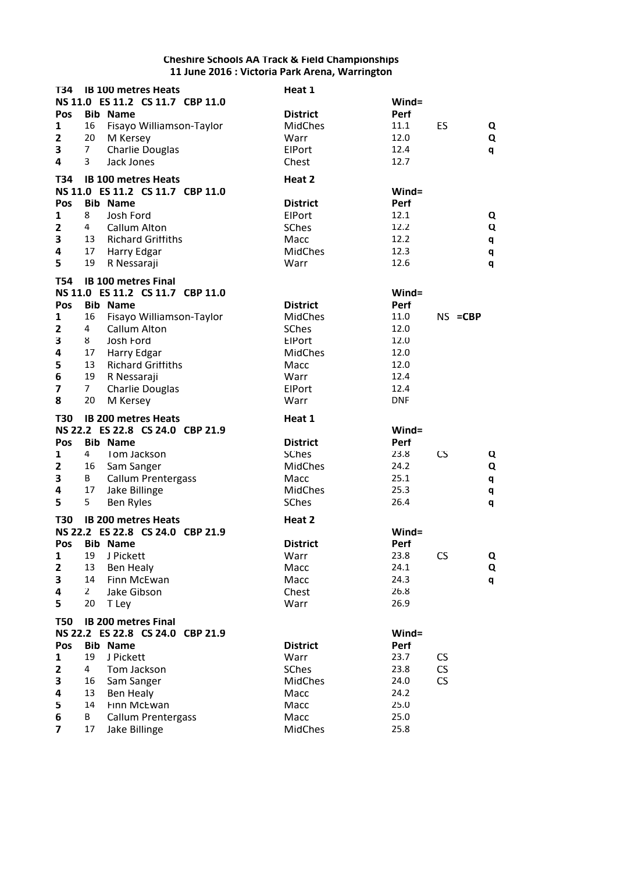| T34               |                | <b>IB 100 metres Heats</b>                                     | Heat 1                 |              |           |            |
|-------------------|----------------|----------------------------------------------------------------|------------------------|--------------|-----------|------------|
|                   |                | NS 11.0 ES 11.2 CS 11.7 CBP 11.0                               |                        | Wind=        |           |            |
| Pos               |                | <b>Bib Name</b>                                                | <b>District</b>        | Perf         |           |            |
| 1                 | 16             | Fisayo Williamson-Taylor                                       | <b>MidChes</b>         | 11.1         | ES        | Q          |
| $\mathbf{2}$      | 20             | M Kersey                                                       | Warr                   | 12.0         |           | Q          |
| 3                 | 7              | <b>Charlie Douglas</b>                                         | ElPort                 | 12.4         |           | q          |
| 4                 | 3              | Jack Jones                                                     | Chest                  | 12.7         |           |            |
|                   |                |                                                                |                        |              |           |            |
| T34               |                | <b>IB 100 metres Heats</b><br>NS 11.0 ES 11.2 CS 11.7 CBP 11.0 | Heat 2                 |              |           |            |
|                   |                | <b>Bib Name</b>                                                |                        | Wind=        |           |            |
| Pos               | 8              |                                                                | <b>District</b>        | Perf<br>12.1 |           |            |
| 1<br>$\mathbf{z}$ | 4              | Josh Ford                                                      | ElPort<br><b>SChes</b> | 12.2         |           | Q          |
|                   |                | Callum Alton                                                   |                        |              |           | Q          |
| 3                 | 13             | <b>Richard Griffiths</b>                                       | Macc                   | 12.2         |           | q          |
| 4                 | 17             | Harry Edgar                                                    | <b>MidChes</b>         | 12.3         |           | q          |
| 5                 | 19             | R Nessaraji                                                    | Warr                   | 12.6         |           | q          |
| T54               |                | <b>IB 100 metres Final</b>                                     |                        |              |           |            |
|                   |                | NS 11.0 ES 11.2 CS 11.7 CBP 11.0                               |                        | Wind=        |           |            |
| Pos               |                | <b>Bib Name</b>                                                | <b>District</b>        | Perf         |           |            |
| 1                 | 16             | Fisayo Williamson-Taylor                                       | <b>MidChes</b>         | 11.0         |           | $NS = CBP$ |
| 2                 | 4              | Callum Alton                                                   | <b>SChes</b>           | 12.0         |           |            |
| 3                 | 8              | Josh Ford                                                      | ElPort                 | 12.0         |           |            |
| 4                 | 17             | Harry Edgar                                                    | <b>MidChes</b>         | 12.0         |           |            |
| 5                 | 13             | <b>Richard Griffiths</b>                                       | Macc                   | 12.0         |           |            |
| 6                 | 19             | R Nessaraji                                                    | Warr                   | 12.4         |           |            |
| 7                 | $\overline{7}$ | <b>Charlie Douglas</b>                                         | ElPort                 | 12.4         |           |            |
| 8                 | 20             | M Kersey                                                       | Warr                   | <b>DNF</b>   |           |            |
|                   |                |                                                                |                        |              |           |            |
|                   |                |                                                                |                        |              |           |            |
| <b>T30</b>        |                | <b>IB 200 metres Heats</b>                                     | Heat 1                 |              |           |            |
|                   |                | NS 22.2 ES 22.8 CS 24.0 CBP 21.9                               |                        | Wind=        |           |            |
| Pos               |                | <b>Bib Name</b>                                                | <b>District</b>        | <b>Perf</b>  |           |            |
| 1                 | 4              | Tom Jackson                                                    | <b>SChes</b>           | 23.8         | <b>CS</b> | Q          |
| 2                 | 16             | Sam Sanger                                                     | <b>MidChes</b>         | 24.2         |           | Q          |
| 3                 | В              | <b>Callum Prentergass</b>                                      | Macc                   | 25.1         |           | q          |
| 4                 | 17             | Jake Billinge                                                  | MidChes                | 25.3         |           | q          |
| 5                 | 5              | <b>Ben Ryles</b>                                               | <b>SChes</b>           | 26.4         |           | q          |
| <b>T30</b>        |                | <b>IB 200 metres Heats</b>                                     | Heat 2                 |              |           |            |
|                   |                | NS 22.2 ES 22.8 CS 24.0 CBP 21.9                               |                        | Wind=        |           |            |
| <b>Pos</b>        |                | <b>Bib Name</b>                                                | <b>District</b>        | Perf         |           |            |
| $\mathbf 1$       | 19             | J Pickett                                                      | Warr                   | 23.8         | CS        | Q          |
| $\mathbf{z}$      | 13             | Ben Healy                                                      | Macc                   | 24.1         |           | Q          |
| 3                 | 14             | Finn McEwan                                                    | Macc                   | 24.3         |           | q          |
| 4                 | $\overline{2}$ | Jake Gibson                                                    | Chest                  | 26.8         |           |            |
| 5                 | 20             |                                                                | Warr                   | 26.9         |           |            |
|                   |                | T Ley                                                          |                        |              |           |            |
| <b>T50</b>        |                | <b>IB 200 metres Final</b>                                     |                        |              |           |            |
|                   |                | NS 22.2 ES 22.8 CS 24.0 CBP 21.9                               |                        | Wind=        |           |            |
| Pos               |                | <b>Bib Name</b>                                                | <b>District</b>        | Perf         |           |            |
| $\mathbf{1}$      | 19             | J Pickett                                                      | Warr                   | 23.7         | CS        |            |
| $\mathbf{2}$      | 4              | Tom Jackson                                                    | <b>SChes</b>           | 23.8         | CS        |            |
| 3                 | 16             | Sam Sanger                                                     | <b>MidChes</b>         | 24.0         | <b>CS</b> |            |
| 4                 | 13             | Ben Healy                                                      | Macc                   | 24.2         |           |            |
| 5                 | 14             | Finn McEwan                                                    | Macc                   | 25.0         |           |            |
| 6<br>7            | B<br>17        | <b>Callum Prentergass</b><br>Jake Billinge                     | Macc<br>MidChes        | 25.0<br>25.8 |           |            |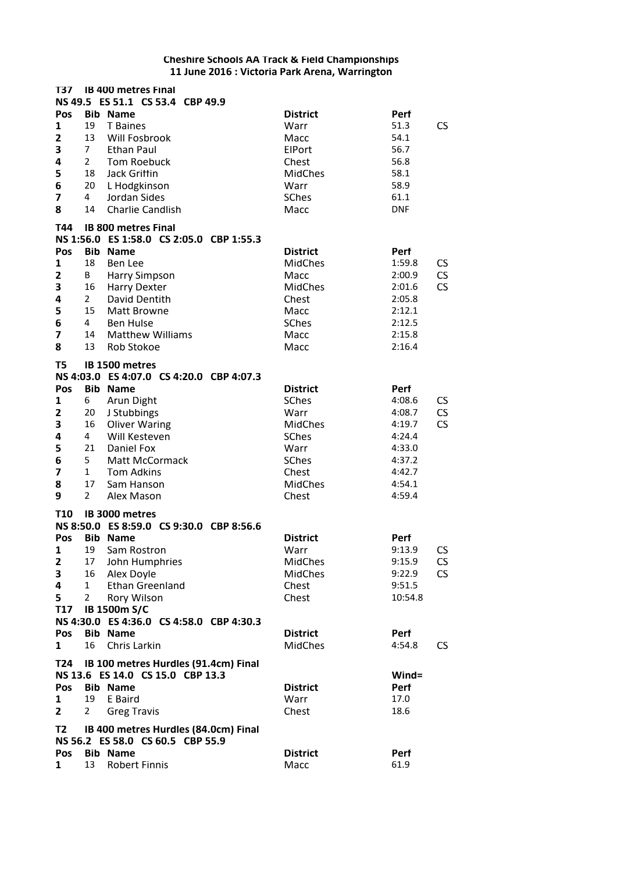| T37                     |                | <b>IB 400 metres Final</b><br>NS 49.5 ES 51.1 CS 53.4 CBP 49.9           |                 |                     |
|-------------------------|----------------|--------------------------------------------------------------------------|-----------------|---------------------|
| Pos                     |                | <b>Bib Name</b>                                                          | <b>District</b> | Perf                |
| 1                       | 19             | <b>T</b> Baines                                                          | Warr            | 51.3                |
|                         | 13             |                                                                          |                 | CS                  |
| 2                       |                | Will Fosbrook                                                            | Macc            | 54.1                |
| 3                       | 7 <sup>7</sup> | <b>Ethan Paul</b>                                                        | ElPort          | 56.7                |
| 4                       | $\overline{2}$ | <b>Tom Roebuck</b>                                                       | Chest           | 56.8                |
| 5                       | 18             | <b>Jack Grittin</b>                                                      | <b>MidChes</b>  | 58.1                |
| 6                       | 20             | L Hodgkinson                                                             | Warr            | 58.9                |
| $\overline{\mathbf{z}}$ | $\overline{4}$ | Jordan Sides                                                             | <b>SChes</b>    | 61.1                |
| 8                       | 14             | <b>Charlie Candlish</b>                                                  | Macc            | <b>DNF</b>          |
| T44                     |                | <b>IB 800 metres Final</b>                                               |                 |                     |
|                         |                | NS 1:56.0 ES 1:58.0 CS 2:05.0 CBP 1:55.3                                 |                 |                     |
| Pos                     |                | <b>Bib Name</b>                                                          | <b>District</b> | Perf                |
| $\mathbf{1}$            | 18             | <b>Ben Lee</b>                                                           | <b>MidChes</b>  | 1:59.8<br>CS        |
| $\mathbf{z}$            | B              | Harry Simpson                                                            | Macc            | <b>CS</b><br>2:00.9 |
| 3                       | 16             | <b>Harry Dexter</b>                                                      | <b>MidChes</b>  | CS<br>2:01.6        |
| 4                       | $2^{\circ}$    | David Dentith                                                            | Chest           | 2:05.8              |
| 5                       | 15             | <b>Matt Browne</b>                                                       | Macc            | 2:12.1              |
| 6                       | $\overline{4}$ | <b>Ben Hulse</b>                                                         | <b>SChes</b>    | 2:12.5              |
| 7                       | 14             | <b>Matthew Williams</b>                                                  | Macc            | 2:15.8              |
| 8                       | 13             | <b>Rob Stokoe</b>                                                        | Macc            | 2:16.4              |
| T5                      |                | IB 1500 metres                                                           |                 |                     |
|                         |                | NS 4:03.0 ES 4:07.0 CS 4:20.0 CBP 4:07.3                                 |                 |                     |
| Pos                     |                | <b>Bib Name</b>                                                          | <b>District</b> | Perf                |
| $\mathbf{1}$            | 6              | Arun Dight                                                               | <b>SChes</b>    | 4:08.6<br>CS        |
| $\overline{\mathbf{c}}$ | 20             | J Stubbings                                                              | Warr            | CS<br>4:08.7        |
| 3                       | 16             | <b>Oliver Waring</b>                                                     | <b>MidChes</b>  | CS<br>4:19.7        |
| 4                       | 4              | Will Kesteven                                                            | <b>SChes</b>    | 4:24.4              |
| 5                       | 21             | Daniel Fox                                                               | Warr            | 4:33.0              |
| 6                       | 5              | <b>Matt McCormack</b>                                                    | SChes           | 4:37.2              |
| $\overline{\mathbf{z}}$ | $\mathbf{1}$   | <b>Tom Adkins</b>                                                        | Chest           | 4:42.7              |
| 8                       | 17             | Sam Hanson                                                               | MidChes         | 4:54.1              |
| 9                       | $\overline{2}$ | Alex Mason                                                               | Chest           | 4:59.4              |
| <b>T10</b>              |                | IB 3000 metres                                                           |                 |                     |
|                         |                | NS 8:50.0 ES 8:59.0 CS 9:30.0 CBP 8:56.6                                 |                 |                     |
| Pos                     |                | <b>Bib Name</b>                                                          | <b>District</b> | Perf                |
| 1                       | 19             | Sam Rostron                                                              | Warr            | 9:13.9<br>CS        |
| 2                       | 17             | John Humphries                                                           | <b>MidChes</b>  | 9:15.9<br>CS        |
| 3                       | 16             | Alex Doyle                                                               | <b>MidChes</b>  | CS<br>9:22.9        |
| 4                       | $\mathbf{1}$   | <b>Ethan Greenland</b>                                                   | Chest           | 9:51.5              |
| 5                       | $\overline{2}$ | Rory Wilson                                                              | Chest           | 10:54.8             |
| T17                     |                | <b>IB 1500m S/C</b>                                                      |                 |                     |
|                         |                | NS 4:30.0 ES 4:36.0 CS 4:58.0 CBP 4:30.3                                 |                 |                     |
| Pos                     |                | <b>Bib Name</b>                                                          | <b>District</b> | Perf                |
| 1                       | 16             | Chris Larkin                                                             | <b>MidChes</b>  | 4:54.8<br>CS        |
| T24                     |                | IB 100 metres Hurdles (91.4cm) Final                                     |                 |                     |
|                         |                | NS 13.6 ES 14.0 CS 15.0 CBP 13.3                                         |                 | Wind=               |
| Pos                     |                | <b>Bib Name</b>                                                          | <b>District</b> | <b>Perf</b>         |
| 1                       | 19             | E Baird                                                                  | Warr            | 17.0                |
| 2                       | 2              | <b>Greg Travis</b>                                                       | Chest           | 18.6                |
|                         |                |                                                                          |                 |                     |
| T2                      |                | IB 400 metres Hurdles (84.0cm) Final<br>NS 56.2 ES 58.0 CS 60.5 CBP 55.9 |                 |                     |
| Pos                     |                | <b>Bib Name</b>                                                          | <b>District</b> | Perf                |
| 1                       | 13             | <b>Robert Finnis</b>                                                     | Macc            | 61.9                |
|                         |                |                                                                          |                 |                     |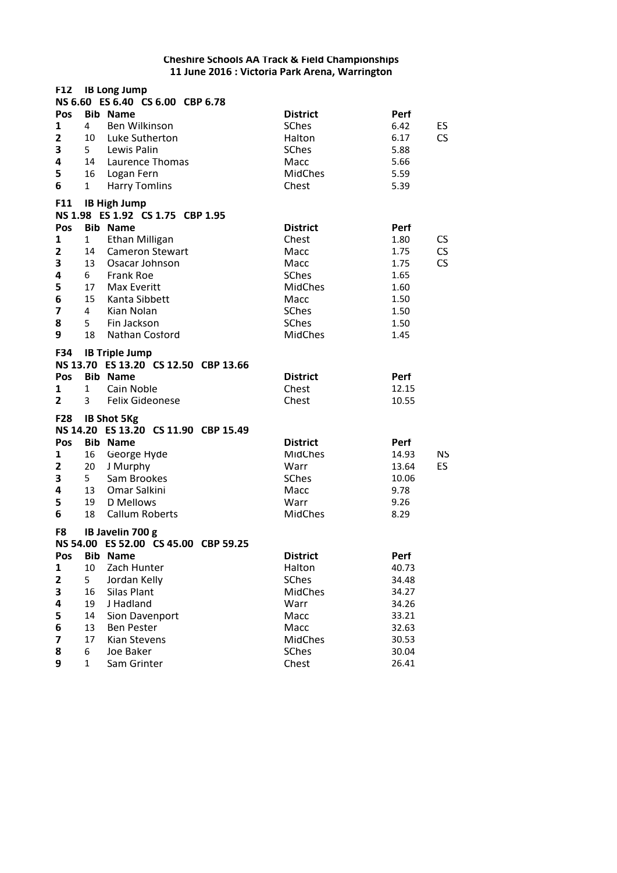| <b>F12</b>              |                   | <b>IB Long Jump</b>                                                                             |                                   |                                  |
|-------------------------|-------------------|-------------------------------------------------------------------------------------------------|-----------------------------------|----------------------------------|
|                         |                   | NS 6.60 ES 6.40 CS 6.00 CBP 6.78                                                                |                                   |                                  |
| Pos                     |                   | <b>Bib Name</b>                                                                                 | <b>District</b>                   | Perf                             |
| 1                       | 4                 | <b>Ben Wilkinson</b>                                                                            | SChes                             | 6.42<br>ES                       |
| $\mathbf{z}$<br>3       | 10<br>$5 -$       | Luke Sutherton<br>Lewis Palin                                                                   | Halton<br><b>SChes</b>            | 6.17<br>CS<br>5.88               |
| 4                       | 14                | Laurence Thomas                                                                                 | Macc                              | 5.66                             |
| 5                       | 16                | Logan Fern                                                                                      | <b>MidChes</b>                    | 5.59                             |
| 6                       | 1                 | <b>Harry Tomlins</b>                                                                            | Chest                             | 5.39                             |
|                         |                   |                                                                                                 |                                   |                                  |
| <b>F11</b>              |                   | <b>IB High Jump</b><br>NS 1.98 ES 1.92 CS 1.75 CBP 1.95                                         |                                   |                                  |
| Pos                     |                   | <b>Bib Name</b>                                                                                 | <b>District</b>                   | Perf                             |
| 1                       | $\mathbf{1}$      | <b>Ethan Milligan</b>                                                                           | Chest                             | 1.80<br><b>CS</b>                |
| 2                       | 14                | <b>Cameron Stewart</b>                                                                          | Macc                              | $\mathsf{CS}\phantom{0}$<br>1.75 |
| 3                       | 13                | Osacar Johnson                                                                                  | Macc                              | $\mathsf{CS}\phantom{0}$<br>1.75 |
| 4                       | 6                 | <b>Frank Roe</b>                                                                                | SChes                             | 1.65                             |
| 5                       | 17                | Max Everitt                                                                                     | <b>MidChes</b>                    | 1.60                             |
| 6                       | 15                | Kanta Sibbett                                                                                   | Macc                              | 1.50                             |
| $\overline{\mathbf{z}}$ | $\overline{4}$    | Kian Nolan                                                                                      | <b>SChes</b>                      | 1.50                             |
| 8                       | $5 -$             | Fin Jackson                                                                                     | <b>SChes</b>                      | 1.50                             |
| 9                       | 18                | Nathan Costord                                                                                  | <b>MidChes</b>                    | 1.45                             |
| Pos<br>1<br>2           | $\mathbf{1}$<br>3 | NS 13.70 ES 13.20 CS 12.50 CBP 13.66<br><b>Bib Name</b><br>Cain Noble<br><b>Felix Gideonese</b> | <b>District</b><br>Chest<br>Chest | Perf<br>12.15<br>10.55           |
| <b>F28</b>              |                   | <b>IB Shot 5Kg</b>                                                                              |                                   |                                  |
|                         |                   | NS 14.20 ES 13.20 CS 11.90 CBP 15.49                                                            |                                   |                                  |
| Pos                     |                   | <b>Bib Name</b>                                                                                 | <b>District</b>                   | <b>Perf</b>                      |
| 1                       | 16                | George Hyde                                                                                     | <b>MidChes</b>                    | <b>NS</b><br>14.93               |
| 2                       | 20                | J Murphy                                                                                        | Warr                              | ES<br>13.64                      |
| 3                       | 5 <sub>1</sub>    | Sam Brookes                                                                                     | <b>SChes</b>                      | 10.06                            |
| 4                       | 13                | Omar Salkini                                                                                    | Macc                              | 9.78                             |
| 5<br>6                  | 19<br>18          | D Mellows<br><b>Callum Roberts</b>                                                              | Warr<br><b>MidChes</b>            | 9.26<br>8.29                     |
| F8                      |                   | IB Javelin 700 g                                                                                |                                   |                                  |
|                         |                   | NS 54.00 ES 52.00 CS 45.00 CBP 59.25                                                            |                                   |                                  |
| Pos                     | <b>Bib</b>        | <b>Name</b>                                                                                     | <b>District</b>                   | Perf                             |
| 1                       | 10                | Zach Hunter                                                                                     | Halton                            | 40.73                            |
| 2                       | 5                 | Jordan Kelly                                                                                    | <b>SChes</b>                      | 34.48                            |
| 3                       | 16                | Silas Plant                                                                                     | <b>MidChes</b>                    | 34.27                            |
| 4                       | 19                | J Hadland                                                                                       | Warr                              | 34.26                            |
| 5                       | 14                | Sion Davenport                                                                                  | Macc                              | 33.21                            |
| 6                       | 13                | <b>Ben Pester</b>                                                                               | Macc                              | 32.63                            |
| 7                       | 17                | Kian Stevens                                                                                    | <b>MidChes</b>                    | 30.53                            |
| 8                       | 6                 | Joe Baker                                                                                       | <b>SChes</b>                      | 30.04                            |
| 9                       | $\mathbf{1}$      | Sam Grinter                                                                                     | Chest                             | 26.41                            |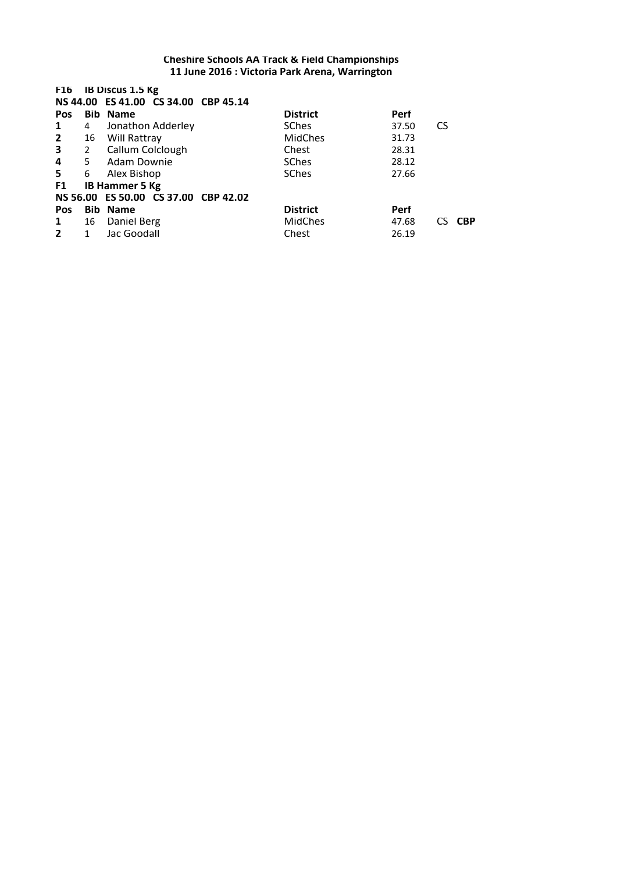| F16            |              | <b>IB Discus 1.5 Kg</b><br>NS 44.00 ES 41.00 CS 34.00 CBP 45.14 |                 |       |                   |
|----------------|--------------|-----------------------------------------------------------------|-----------------|-------|-------------------|
| <b>Pos</b>     |              | <b>Bib Name</b>                                                 | <b>District</b> | Perf  |                   |
| 1              | 4            | Jonathon Adderley                                               | <b>SChes</b>    | 37.50 | <b>CS</b>         |
| $\mathbf{2}$   | 16           | Will Rattray                                                    | <b>MidChes</b>  | 31.73 |                   |
| $\mathbf{3}$   | $2^{\circ}$  | Callum Colclough                                                | Chest           | 28.31 |                   |
| 4              | 5            | Adam Downie                                                     | <b>SChes</b>    | 28.12 |                   |
| 5              | 6            | Alex Bishop                                                     | <b>SChes</b>    | 27.66 |                   |
| F1             |              | <b>IB Hammer 5 Kg</b>                                           |                 |       |                   |
|                |              | NS 56.00 ES 50.00 CS 37.00 CBP 42.02                            |                 |       |                   |
| <b>Pos</b>     |              | <b>Bib Name</b>                                                 | <b>District</b> | Perf  |                   |
| $\mathbf{1}$   | 16           | Daniel Berg                                                     | <b>MidChes</b>  | 47.68 | <b>CBP</b><br>CS. |
| $\overline{2}$ | $\mathbf{1}$ | Jac Goodall                                                     | Chest           | 26.19 |                   |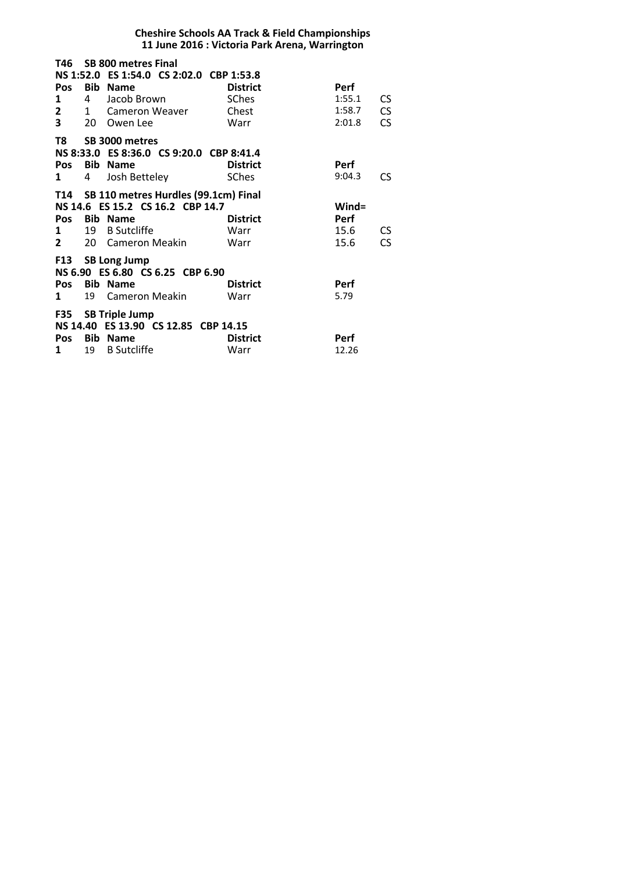| <b>Cheshire Schools AA Track &amp; Field Championships</b><br>11 June 2016 : Victoria Park Arena, Warrington |           |                                                                                                                                         |                                                  |                                                                           |  |  |
|--------------------------------------------------------------------------------------------------------------|-----------|-----------------------------------------------------------------------------------------------------------------------------------------|--------------------------------------------------|---------------------------------------------------------------------------|--|--|
| Pos<br>1<br>$2^{\sim}$<br>$\overline{\mathbf{3}}$                                                            | <b>20</b> | T46 SB 800 metres Final<br>NS 1:52.0 ES 1:54.0 CS 2:02.0 CBP 1:53.8<br><b>Bib Name</b><br>4 Jacob Brown<br>1 Cameron Weaver<br>Owen Lee | <b>District</b><br><b>SChes</b><br>Chest<br>Warr | <b>Perf</b><br>1:55.1<br>CS<br><b>CS</b><br>1:58.7<br><b>CS</b><br>2:01.8 |  |  |
| T8<br>Pos<br>1                                                                                               | 4         | SB 3000 metres<br>NS 8:33.0 ES 8:36.0 CS 9:20.0 CBP 8:41.4<br><b>Bib Name</b><br>Josh Bettelev                                          | <b>District</b><br><b>SChes</b>                  | <b>Perf</b><br>9:04.3<br>CS                                               |  |  |
| Pos<br>1<br>$2^{\circ}$                                                                                      | 20 L      | T14 SB 110 metres Hurdles (99.1cm) Final<br>NS 14.6 ES 15.2 CS 16.2 CBP 14.7<br><b>Bib Name</b><br>19 B Sutcliffe<br>Cameron Meakin     | <b>District</b><br>Warr<br>Warr                  | $Wind =$<br><b>Perf</b><br>15.6<br>CS<br><b>CS</b><br>15.6                |  |  |
| Pos<br>1                                                                                                     | 19        | F13 SB Long Jump<br>NS 6.90 ES 6.80 CS 6.25 CBP 6.90<br><b>Bib Name</b><br>Cameron Meakin                                               | <b>District</b><br>Warr                          | Perf<br>5.79                                                              |  |  |
| Pos<br>1                                                                                                     | 19        | F35 SB Triple Jump<br>NS 14.40 ES 13.90 CS 12.85 CBP 14.15<br><b>Bib Name</b><br><b>B</b> Sutcliffe                                     | <b>District</b><br>Warr                          | <b>Perf</b><br>12.26                                                      |  |  |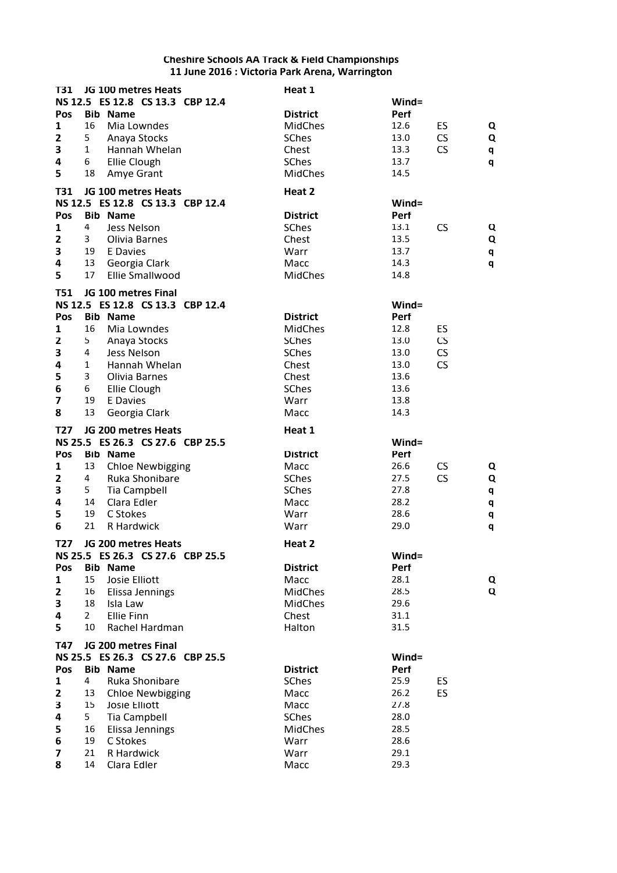| T31                     |                         | JG 100 metres Heats              | Heat 1          |             |           |   |
|-------------------------|-------------------------|----------------------------------|-----------------|-------------|-----------|---|
|                         |                         | NS 12.5 ES 12.8 CS 13.3 CBP 12.4 |                 | Wind=       |           |   |
| Pos                     |                         | <b>Bib Name</b>                  | <b>District</b> | Perf        |           |   |
| 1                       | 16                      | Mia Lowndes                      | <b>MidChes</b>  | 12.6        | ES        | Q |
| $\mathbf{z}$            | 5                       | Anaya Stocks                     | <b>SChes</b>    | 13.0        | <b>CS</b> | Q |
| 3                       | $\mathbf{1}$            | Hannah Whelan                    | Chest           | 13.3        | <b>CS</b> | q |
| 4                       | 6                       | <b>Ellie Clough</b>              | <b>SChes</b>    | 13.7        |           | q |
| 5                       | 18                      | Amye Grant                       | <b>MidChes</b>  | 14.5        |           |   |
| T31                     |                         | JG 100 metres Heats              | Heat 2          |             |           |   |
|                         |                         | NS 12.5 ES 12.8 CS 13.3 CBP 12.4 |                 | Wind=       |           |   |
| Pos                     |                         | <b>Bib Name</b>                  | <b>District</b> | <b>Perf</b> |           |   |
| 1                       | 4                       | Jess Nelson                      | <b>SChes</b>    | 13.1        | CS        | Q |
| 2                       | 3                       | Olivia Barnes                    | Chest           | 13.5        |           | Q |
| 3                       | 19                      | E Davies                         | Warr            | 13.7        |           | q |
| 4                       | 13                      | Georgia Clark                    | Macc            | 14.3        |           | q |
| 5                       | 17                      | <b>Ellie Smallwood</b>           | <b>MidChes</b>  | 14.8        |           |   |
|                         |                         |                                  |                 |             |           |   |
| <b>T51</b>              |                         | JG 100 metres Final              |                 |             |           |   |
|                         |                         | NS 12.5 ES 12.8 CS 13.3 CBP 12.4 |                 | Wind=       |           |   |
| Pos                     |                         | <b>Bib Name</b>                  | <b>District</b> | <b>Perf</b> |           |   |
| 1                       | 16                      | Mia Lowndes                      | <b>MidChes</b>  | 12.8        | ES        |   |
| $\mathbf{z}$            | 5                       | Anaya Stocks                     | <b>SChes</b>    | 13.0        | <b>CS</b> |   |
| 3                       | $\overline{\mathbf{4}}$ | Jess Nelson                      | <b>SChes</b>    | 13.0        | <b>CS</b> |   |
| 4                       | $\mathbf 1$             | Hannah Whelan                    | Chest           | 13.0        | CS        |   |
| 5                       | 3                       | Olivia Barnes                    | Chest           | 13.6        |           |   |
| 6                       | 6                       | <b>Ellie Clough</b>              | <b>SChes</b>    | 13.6        |           |   |
| 7                       | 19                      | E Davies                         | Warr            | 13.8        |           |   |
| 8                       | 13                      | Georgia Clark                    | Macc            | 14.3        |           |   |
| T27                     |                         | JG 200 metres Heats              | Heat 1          |             |           |   |
|                         |                         | NS 25.5 ES 26.3 CS 27.6 CBP 25.5 |                 | Wind=       |           |   |
| Pos                     |                         | <b>Bib Name</b>                  | <b>District</b> | <b>Perf</b> |           |   |
| 1                       | 13                      | <b>Chloe Newbigging</b>          | Macc            | 26.6        | <b>CS</b> | Q |
| $\overline{\mathbf{c}}$ | 4                       | Ruka Shonibare                   | SChes           | 27.5        | CS        | Q |
| 3                       | 5                       | <b>Tia Campbell</b>              | <b>SChes</b>    | 27.8        |           | q |
| 4                       | 14                      | Clara Edler                      | Macc            | 28.2        |           | q |
| 5                       | 19                      | C Stokes                         | Warr            | 28.6        |           | q |
| 6                       | 21                      | R Hardwick                       | Warr            | 29.0        |           | q |
| T27                     |                         | JG 200 metres Heats              | Heat 2          |             |           |   |
|                         |                         | NS 25.5 ES 26.3 CS 27.6 CBP 25.5 |                 | Wind=       |           |   |
| Pos                     |                         | <b>Bib Name</b>                  | <b>District</b> | Perf        |           |   |
| 1                       | 15                      | Josie Elliott                    | Macc            | 28.1        |           | Q |
| $\mathbf{2}$            | 16                      | Elissa Jennings                  | <b>MidChes</b>  | 28.5        |           | Q |
| 3                       | 18                      | Isla Law                         | <b>MidChes</b>  | 29.6        |           |   |
| 4                       | $\overline{2}$          | <b>Ellie Finn</b>                | Chest           | 31.1        |           |   |
| 5                       | 10                      | Rachel Hardman                   | Halton          | 31.5        |           |   |
| T47                     |                         | JG 200 metres Final              |                 |             |           |   |
|                         |                         | NS 25.5 ES 26.3 CS 27.6 CBP 25.5 |                 | Wind=       |           |   |
| Pos                     |                         | <b>Bib Name</b>                  | <b>District</b> | Perf        |           |   |
| 1                       | $\overline{4}$          | Ruka Shonibare                   | SChes           | 25.9        | ES.       |   |
| 2                       | 13                      | <b>Chloe Newbigging</b>          | Macc            | 26.2        | ES        |   |
| 3                       | 15                      | Josie Elliott                    | Macc            | 27.8        |           |   |
| 4                       | 5                       | <b>Tia Campbell</b>              | <b>SChes</b>    | 28.0        |           |   |
| 5                       | 16                      | Elissa Jennings                  | <b>MidChes</b>  | 28.5        |           |   |
| 6                       | 19                      | C Stokes                         | Warr            | 28.6        |           |   |
| 7                       | 21                      | R Hardwick                       | Warr            | 29.1        |           |   |
| 8                       | 14                      | Clara Edler                      | Macc            | 29.3        |           |   |
|                         |                         |                                  |                 |             |           |   |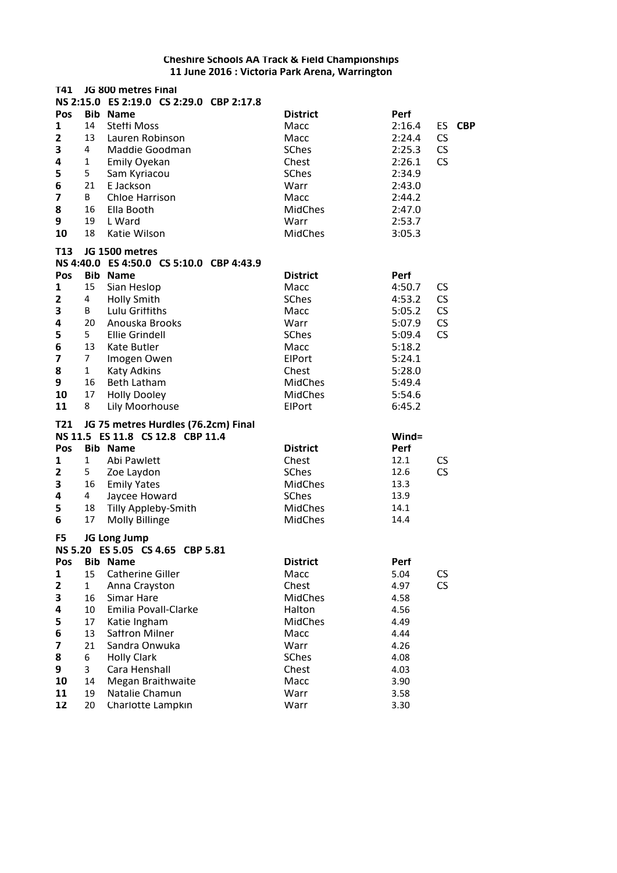| T41                     |              | JG 800 metres Final                      |                 |          |                          |
|-------------------------|--------------|------------------------------------------|-----------------|----------|--------------------------|
|                         |              | NS 2:15.0 ES 2:19.0 CS 2:29.0 CBP 2:17.8 |                 |          |                          |
| Pos                     |              | <b>Bib Name</b>                          | <b>District</b> | Perf     |                          |
| 1                       | 14           | Steffi Moss                              | Macc            | 2:16.4   | <b>CBP</b><br>ES.        |
| $\mathbf{z}$            | 13           | Lauren Robinson                          | Macc            | 2:24.4   | CS                       |
| 3                       | 4            | Maddie Goodman                           | SChes           | 2:25.3   | CS                       |
| 4                       | $\mathbf 1$  | <b>Emily Oyekan</b>                      | Chest           | 2:26.1   | CS                       |
| 5                       | 5            | Sam Kyriacou                             | SChes           | 2:34.9   |                          |
| 6                       | 21           | E Jackson                                | Warr            | 2:43.0   |                          |
| $\overline{\mathbf{z}}$ | B            | <b>Chloe Harrison</b>                    | Macc            | 2:44.2   |                          |
| 8                       | 16           | Ella Booth                               | <b>MidChes</b>  | 2:47.0   |                          |
| 9                       | 19           | L Ward                                   | Warr            | 2:53.7   |                          |
| 10                      | 18           | Katie Wilson                             | MidChes         | 3:05.3   |                          |
| T <sub>13</sub>         |              | JG 1500 metres                           |                 |          |                          |
|                         |              | NS 4:40.0 ES 4:50.0 CS 5:10.0 CBP 4:43.9 |                 |          |                          |
| Pos                     |              | <b>Bib Name</b>                          | <b>District</b> | Perf     |                          |
| 1                       | 15           | Sian Heslop                              | Macc            | 4:50.7   | <b>CS</b>                |
| $\mathbf{2}$            | 4            | <b>Holly Smith</b>                       | SChes           | 4:53.2   | CS                       |
| 3                       | B            | Lulu Griffiths                           | Macc            | 5:05.2   | CS                       |
| 4                       | 20           | Anouska Brooks                           | Warr            | 5:07.9   | $\mathsf{CS}\phantom{0}$ |
| 5                       | 5            | <b>Ellie Grindell</b>                    | SChes           | 5:09.4   | CS                       |
| 6                       | 13           | Kate Butler                              | Macc            | 5:18.2   |                          |
| $\overline{\mathbf{z}}$ | 7            | Imogen Owen                              | ElPort          | 5:24.1   |                          |
| 8                       | $\mathbf 1$  | <b>Katy Adkins</b>                       | Chest           | 5:28.0   |                          |
| 9                       | 16           | <b>Beth Latham</b>                       | <b>MidChes</b>  | 5:49.4   |                          |
| 10                      | 17           | <b>Holly Dooley</b>                      | <b>MidChes</b>  | 5:54.6   |                          |
| 11                      | 8            | Lily Moorhouse                           | ElPort          | 6:45.2   |                          |
| T21                     |              | JG 75 metres Hurdles (76.2cm) Final      |                 |          |                          |
|                         |              | NS 11.5 ES 11.8 CS 12.8 CBP 11.4         |                 | $Wind =$ |                          |
| Pos                     |              | <b>Bib Name</b>                          | <b>District</b> | Perf     |                          |
| 1                       | 1            | Abi Pawlett                              | Chest           | 12.1     | <b>CS</b>                |
| 2                       | 5            | Zoe Laydon                               | SChes           | 12.6     | <b>CS</b>                |
| 3                       | 16           | <b>Emily Yates</b>                       | MidChes         | 13.3     |                          |
| 4                       | 4            | Jaycee Howard                            | SChes           | 13.9     |                          |
| 5                       | 18           | <b>Tilly Appleby-Smith</b>               | <b>MidChes</b>  | 14.1     |                          |
| 6                       | 17           | <b>Molly Billinge</b>                    | <b>MidChes</b>  | 14.4     |                          |
| F5                      |              | JG Long Jump                             |                 |          |                          |
|                         |              | NS 5.20 ES 5.05 CS 4.65 CBP 5.81         |                 |          |                          |
| Pos                     |              | <b>Bib Name</b>                          | <b>District</b> | Perf     |                          |
| $\mathbf 1$             | 15           | <b>Catherine Giller</b>                  | Macc            | 5.04     | CS                       |
| 2                       | $\mathbf{1}$ | Anna Crayston                            | Chest           | 4.97     | <b>CS</b>                |
| 3                       | 16           | Simar Hare                               | <b>MidChes</b>  | 4.58     |                          |
| 4                       | 10           | Emilia Povall-Clarke                     | Halton          | 4.56     |                          |
| 5                       | 17           | Katie Ingham                             | <b>MidChes</b>  | 4.49     |                          |
| 6                       | 13           | Sattron Milner                           | Macc            | 4.44     |                          |
| 7                       | 21           | Sandra Onwuka                            | Warr            | 4.26     |                          |
| 8                       | 6            | <b>Holly Clark</b>                       | SChes           | 4.08     |                          |
| 9                       | 3            | Cara Henshall                            | Chest           | 4.03     |                          |
| 10                      | 14           | Megan Braithwaite                        | Macc            | 3.90     |                          |
| 11                      | 19           | Natalie Chamun                           | Warr            | 3.58     |                          |
| 12                      | 20           | Charlotte Lampkin                        | Warr            | 3.30     |                          |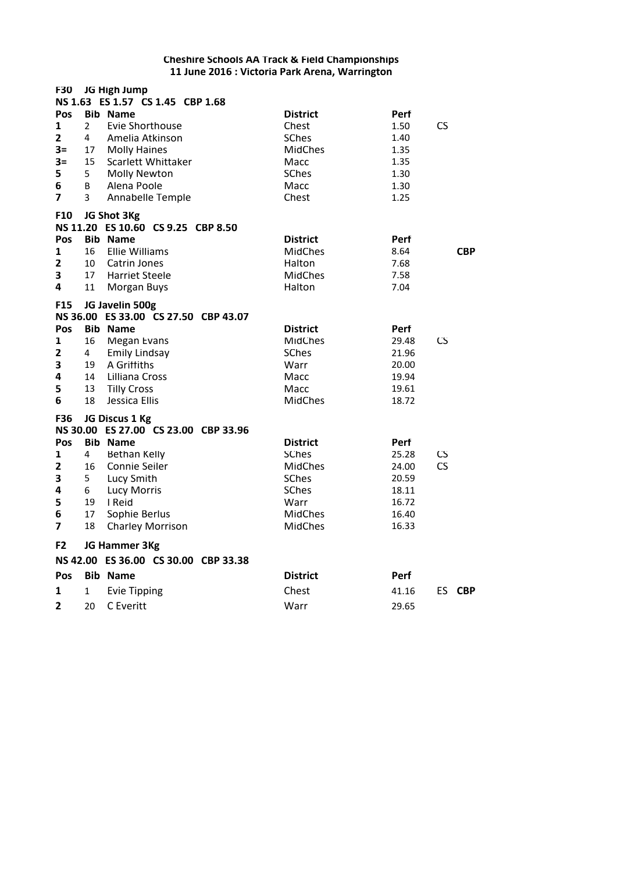| <b>F30</b>                                                                     |                                                | JG High Jump<br>NS 1.63 ES 1.57 CS 1.45 CBP 1.68                                                                                                                                                                   |                                                                                                                        |                                                                     |                   |
|--------------------------------------------------------------------------------|------------------------------------------------|--------------------------------------------------------------------------------------------------------------------------------------------------------------------------------------------------------------------|------------------------------------------------------------------------------------------------------------------------|---------------------------------------------------------------------|-------------------|
| Pos<br>1<br>$\mathbf{z}$<br>$3=$<br>$3=$<br>5<br>6<br>$\overline{\mathbf{z}}$  | $\overline{2}$<br>4<br>17<br>15<br>5<br>B<br>3 | <b>Bib Name</b><br>Evie Shorthouse<br>Amelia Atkinson<br><b>Molly Haines</b><br>Scarlett Whittaker<br><b>Molly Newton</b><br>Alena Poole<br>Annabelle Temple                                                       | <b>District</b><br>Chest<br><b>SChes</b><br><b>MidChes</b><br>Macc<br>SChes<br>Macc<br>Chest                           | Perf<br>1.50<br>1.40<br>1.35<br>1.35<br>1.30<br>1.30<br>1.25        | CS                |
| F10<br><b>Pos</b><br>$\mathbf{1}$<br>$\mathbf{2}$<br>3<br>4                    | 16<br>10<br>17<br>11                           | JG Shot 3Kg<br>NS 11.20 ES 10.60 CS 9.25 CBP 8.50<br><b>Bib Name</b><br>Ellie Williams<br>Catrin Jones<br><b>Harriet Steele</b><br><b>Morgan Buys</b>                                                              | <b>District</b><br><b>MidChes</b><br>Halton<br><b>MidChes</b><br>Halton                                                | <b>Perf</b><br>8.64<br>7.68<br>7.58<br>7.04                         | <b>CBP</b>        |
| <b>F15</b><br>Pos<br>1<br>2<br>3<br>4<br>5<br>6                                | 16<br>4<br>19<br>14<br>13<br>18                | JG Javelin 500g<br>NS 36.00 ES 33.00 CS 27.50 CBP 43.07<br><b>Bib Name</b><br><b>Megan Evans</b><br><b>Emily Lindsay</b><br>A Griffiths<br>Lilliana Cross<br><b>Tilly Cross</b><br>Jessica Ellis                   | <b>District</b><br><b>MidChes</b><br><b>SChes</b><br>Warr<br>Macc<br>Macc<br><b>MidChes</b>                            | Perf<br>29.48<br>21.96<br>20.00<br>19.94<br>19.61<br>18.72          | CS                |
| F36<br>Pos<br>$\mathbf{1}$<br>2<br>3<br>4<br>5<br>6<br>$\overline{\mathbf{z}}$ | 4<br>16<br>5<br>6<br>19<br>17<br>18            | JG Discus 1 Kg<br>NS 30.00 ES 27.00 CS 23.00 CBP 33.96<br><b>Bib Name</b><br><b>Bethan Kelly</b><br><b>Connie Seiler</b><br>Lucy Smith<br><b>Lucy Morris</b><br>I Reid<br>Sophie Berlus<br><b>Charley Morrison</b> | <b>District</b><br><b>SChes</b><br><b>MidChes</b><br><b>SChes</b><br>SChes<br>Warr<br><b>MidChes</b><br><b>MidChes</b> | Perf<br>25.28<br>24.00<br>20.59<br>18.11<br>16.72<br>16.40<br>16.33 | CS<br>CS          |
| F2                                                                             |                                                | JG Hammer 3Kg<br>NS 42.00 ES 36.00 CS 30.00 CBP 33.38                                                                                                                                                              |                                                                                                                        |                                                                     |                   |
| Pos                                                                            |                                                | <b>Bib Name</b>                                                                                                                                                                                                    | <b>District</b>                                                                                                        | <b>Perf</b>                                                         |                   |
| 1                                                                              | 1                                              | <b>Evie Tipping</b>                                                                                                                                                                                                | Chest                                                                                                                  | 41.16                                                               | ES.<br><b>CBP</b> |
| 2                                                                              | 20                                             | C Everitt                                                                                                                                                                                                          | Warr                                                                                                                   | 29.65                                                               |                   |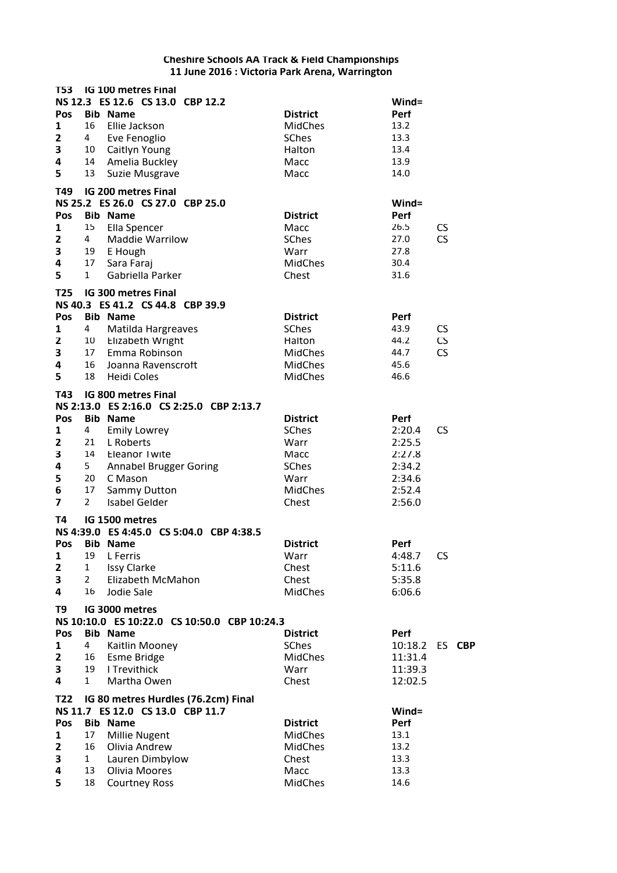| T53                                               |                                                             | <b>IG 100 metres Final</b>                                                                                                                                             |                                                                                        |                                                                                         |
|---------------------------------------------------|-------------------------------------------------------------|------------------------------------------------------------------------------------------------------------------------------------------------------------------------|----------------------------------------------------------------------------------------|-----------------------------------------------------------------------------------------|
| Pos<br>1<br>2<br>3<br>4<br>5                      | 16<br>4<br>13                                               | NS 12.3 ES 12.6 CS 13.0 CBP 12.2<br><b>Bib Name</b><br>Ellie Jackson<br>Eve Fenoglio<br>10 Caitlyn Young<br>14 Amelia Buckley<br>Suzie Musgrave                        | <b>District</b><br><b>MidChes</b><br>SChes<br>Halton<br>Macc<br>Macc                   | Wind=<br>Perf<br>13.2<br>13.3<br>13.4<br>13.9<br>14.0                                   |
| T49                                               |                                                             | <b>IG 200 metres Final</b>                                                                                                                                             |                                                                                        |                                                                                         |
| Pos<br>1<br>2<br>3<br>4<br>5                      | 15<br>4<br>17<br>$\mathbf{1}$                               | NS 25.2 ES 26.0 CS 27.0 CBP 25.0<br><b>Bib Name</b><br>Ella Spencer<br><b>Maddie Warrilow</b><br>19 E Hough<br>Sara Faraj<br>Gabriella Parker                          | <b>District</b><br>Macc<br>SChes<br>Warr<br><b>MidChes</b><br>Chest                    | $Wind =$<br>Perf<br>26.5<br><b>CS</b><br><b>CS</b><br>27.0<br>27.8<br>30.4<br>31.6      |
| T25                                               |                                                             | <b>IG 300 metres Final</b><br>NS 40.3 ES 41.2 CS 44.8 CBP 39.9                                                                                                         |                                                                                        |                                                                                         |
| Pos<br>$\mathbf{1}$<br>$\mathbf 2$<br>3<br>4<br>5 | 4<br>16<br>18                                               | <b>Bib Name</b><br>Matilda Hargreaves<br>10 Elizabeth Wright<br>17 Emma Robinson<br>Joanna Ravenscroft<br><b>Heidi Coles</b>                                           | <b>District</b><br>SChes<br>Halton<br><b>MidChes</b><br><b>MidChes</b><br>MidChes      | Perf<br>43.9<br><b>CS</b><br><b>CS</b><br>44.2<br><b>CS</b><br>44.7<br>45.6<br>46.6     |
| T43                                               |                                                             | IG 800 metres Final                                                                                                                                                    |                                                                                        |                                                                                         |
|                                                   |                                                             | NS 2:13.0 ES 2:16.0 CS 2:25.0 CBP 2:13.7                                                                                                                               |                                                                                        |                                                                                         |
| Pos<br>1<br>2<br>3<br>4<br>5<br>6<br>7            | 4<br>21<br>14<br>5 <sub>1</sub><br>20<br>17<br>$\mathbf{2}$ | <b>Bib Name</b><br><b>Emily Lowrey</b><br>L Roberts<br><b>Eleanor Twite</b><br><b>Annabel Brugger Goring</b><br>C Mason<br><b>Sammy Dutton</b><br><b>Isabel Gelder</b> | <b>District</b><br>SChes<br>Warr<br>Macc<br>SChes<br>Warr<br><b>MidChes</b><br>Chest   | Perf<br><b>CS</b><br>2:20.4<br>2:25.5<br>2:27.8<br>2:34.2<br>2:34.6<br>2:52.4<br>2:56.0 |
| Т4                                                |                                                             | IG 1500 metres                                                                                                                                                         |                                                                                        |                                                                                         |
|                                                   |                                                             | NS 4:39.0 ES 4:45.0 CS 5:04.0 CBP 4:38.5                                                                                                                               |                                                                                        |                                                                                         |
| Pos<br>1<br>$\mathbf{z}$<br>3<br>4                | 19<br>$\mathbf{1}$<br>$\overline{2}$<br>16                  | <b>Bib Name</b><br>L Ferris<br><b>Issy Clarke</b><br>Elizabeth McMahon<br>Jodie Sale                                                                                   | <b>District</b><br>Warr<br>Chest<br>Chest<br><b>MidChes</b>                            | Perf<br><b>CS</b><br>4:48.7<br>5:11.6<br>5:35.8<br>6:06.6                               |
| T9                                                |                                                             | IG 3000 metres                                                                                                                                                         |                                                                                        |                                                                                         |
|                                                   |                                                             | NS 10:10.0 ES 10:22.0 CS 10:50.0 CBP 10:24.3                                                                                                                           |                                                                                        |                                                                                         |
| Pos<br>1<br>$\mathbf{2}$<br>3<br>4                | 4<br>16<br>19<br>$\mathbf{1}$                               | <b>Bib Name</b><br>Kaitlin Mooney<br>Esme Bridge<br>I Trevithick<br>Martha Owen                                                                                        | <b>District</b><br><b>SChes</b><br><b>MidChes</b><br>Warr<br>Chest                     | Perf<br>10:18.2<br>ES<br><b>CBP</b><br>11:31.4<br>11:39.3<br>12:02.5                    |
| T22                                               |                                                             | IG 80 metres Hurdles (76.2cm) Final                                                                                                                                    |                                                                                        |                                                                                         |
| Pos<br>1<br>2<br>3<br>4<br>5                      | 17<br>16<br>$\mathbf{1}$<br>13<br>18                        | NS 11.7 ES 12.0 CS 13.0 CBP 11.7<br><b>Bib Name</b><br>Millie Nugent<br>Olivia Andrew<br>Lauren Dimbylow<br>Olivia Moores<br><b>Courtney Ross</b>                      | <b>District</b><br><b>MidChes</b><br><b>MidChes</b><br>Chest<br>Macc<br><b>MidChes</b> | Wind=<br>Perf<br>13.1<br>13.2<br>13.3<br>13.3<br>14.6                                   |
|                                                   |                                                             |                                                                                                                                                                        |                                                                                        |                                                                                         |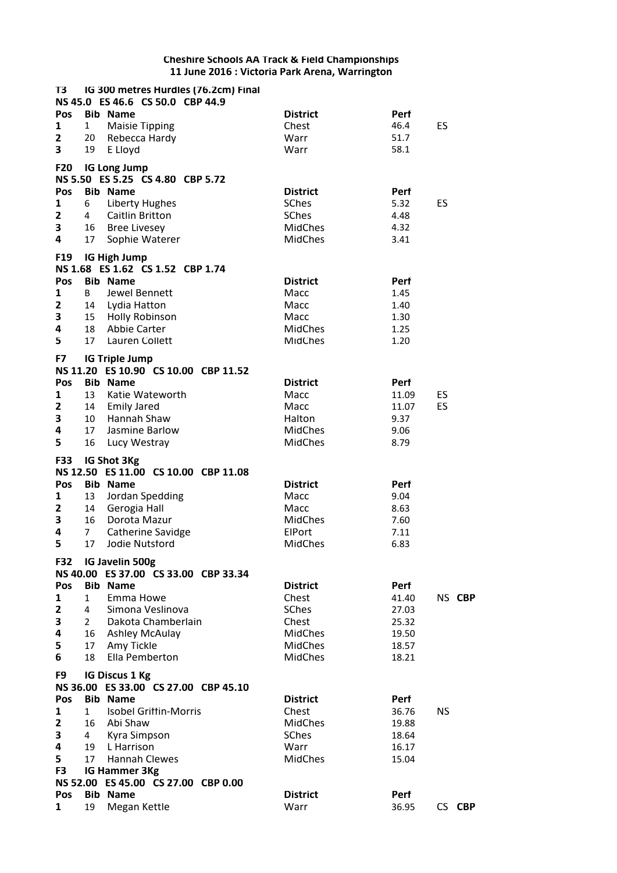| T3              |                | IG 300 metres Hurdles (76.2cm) Final |                 |             |           |
|-----------------|----------------|--------------------------------------|-----------------|-------------|-----------|
|                 |                | NS 45.0 ES 46.6 CS 50.0 CBP 44.9     |                 |             |           |
| Pos             |                | <b>Bib Name</b>                      | <b>District</b> | Perf        |           |
| 1               | $\mathbf{1}$   | <b>Maisie Tipping</b>                | Chest           | 46.4        | ES        |
| $\mathbf{z}$    |                | 20 Rebecca Hardy                     | Warr            | 51.7        |           |
| 3               | 19             | E Lloyd                              | Warr            | 58.1        |           |
|                 |                |                                      |                 |             |           |
| <b>F20</b>      |                | <b>IG Long Jump</b>                  |                 |             |           |
|                 |                | NS 5.50 ES 5.25 CS 4.80 CBP 5.72     |                 |             |           |
| Pos             |                | <b>Bib Name</b>                      | <b>District</b> | Perf        |           |
| 1               | 6              | <b>Liberty Hughes</b>                | <b>SChes</b>    | 5.32        | ES        |
| $\mathbf{2}$    | 4              | <b>Caitlin Britton</b>               | <b>SChes</b>    | 4.48        |           |
| 3               |                | 16 Bree Livesey                      | <b>MidChes</b>  | 4.32        |           |
| 4               | 17             | Sophie Waterer                       | <b>MidChes</b>  | 3.41        |           |
| F <sub>19</sub> |                | <b>IG High Jump</b>                  |                 |             |           |
|                 |                | NS 1.68 ES 1.62 CS 1.52 CBP 1.74     |                 |             |           |
| Pos             |                | <b>Bib Name</b>                      | <b>District</b> | Perf        |           |
| 1               | B              | Jewel Bennett                        | Macc            | 1.45        |           |
| $\mathbf{z}$    |                | 14 Lydia Hatton                      | Macc            | 1.40        |           |
| 3               |                | 15 Holly Robinson                    | Macc            |             |           |
| 4               | 18             |                                      |                 | 1.30        |           |
|                 |                | Abbie Carter                         | <b>MidChes</b>  | 1.25        |           |
| 5               | 17             | Lauren Collett                       | <b>MidChes</b>  | 1.20        |           |
| F7              |                | <b>IG Triple Jump</b>                |                 |             |           |
|                 |                | NS 11.20 ES 10.90 CS 10.00 CBP 11.52 |                 |             |           |
| Pos             |                | <b>Bib Name</b>                      | <b>District</b> | <b>Perf</b> |           |
| $\mathbf{1}$    | 13             | Katie Wateworth                      | Macc            | 11.09       | ES        |
| 2               |                | 14 Emily Jared                       | Macc            | 11.07       | ES        |
| 3               | 10             | Hannah Shaw                          | Halton          | 9.37        |           |
| 4               | 17             | Jasmine Barlow                       | <b>MidChes</b>  | 9.06        |           |
| 5               | 16             | Lucy Westray                         | <b>MidChes</b>  | 8.79        |           |
|                 |                |                                      |                 |             |           |
|                 |                |                                      |                 |             |           |
| F33             |                | IG Shot 3Kg                          |                 |             |           |
|                 |                | NS 12.50 ES 11.00 CS 10.00 CBP 11.08 |                 |             |           |
| Pos             |                | <b>Bib Name</b>                      | <b>District</b> | Perf        |           |
| 1               | 13             | Jordan Spedding                      | Macc            | 9.04        |           |
| $\mathbf{2}$    | 14             | Gerogia Hall                         | Macc            | 8.63        |           |
| 3               | 16             | Dorota Mazur                         | <b>MidChes</b>  | 7.60        |           |
| 4               | $\overline{7}$ |                                      | ElPort          | 7.11        |           |
|                 |                | Catherine Savidge<br>Jodie Nutsford  | <b>MidChes</b>  |             |           |
| 5               | 17             |                                      |                 | 6.83        |           |
| <b>F32</b>      |                | IG Javelin 500g                      |                 |             |           |
|                 |                | NS 40.00 ES 37.00 CS 33.00 CBP 33.34 |                 |             |           |
| Pos             |                | <b>Bib Name</b>                      | <b>District</b> | Perf        |           |
| 1               | $\mathbf{1}$   | Emma Howe                            | Chest           | 41.40       | NS CBP    |
| 2               | $\overline{4}$ | Simona Veslinova                     | SChes           | 27.03       |           |
| 3               |                | 2 Dakota Chamberlain                 | Chest           | 25.32       |           |
| 4               |                | 16 Ashley McAulay                    | <b>MidChes</b>  | 19.50       |           |
| 5               | 17             | Amy Tickle                           | <b>MidChes</b>  | 18.57       |           |
| 6               | 18             | Ella Pemberton                       | <b>MidChes</b>  | 18.21       |           |
|                 |                |                                      |                 |             |           |
| F9              |                | <b>IG Discus 1 Kg</b>                |                 |             |           |
|                 |                | NS 36.00 ES 33.00 CS 27.00 CBP 45.10 |                 |             |           |
| Pos             |                | <b>Bib Name</b>                      | <b>District</b> | Perf        |           |
| 1               | $\mathbf{1}$   | <b>Isobel Griffin-Morris</b>         | Chest           | 36.76       | <b>NS</b> |
| $\mathbf{2}$    | 16             | Abi Shaw                             | <b>MidChes</b>  | 19.88       |           |
| 3               | 4              | Kyra Simpson                         | <b>SChes</b>    | 18.64       |           |
| 4               | 19             | L Harrison                           | Warr            | 16.17       |           |
| 5               | 17             | <b>Hannah Clewes</b>                 | <b>MidChes</b>  | 15.04       |           |
| F3              |                | IG Hammer 3Kg                        |                 |             |           |
|                 |                | NS 52.00 ES 45.00 CS 27.00 CBP 0.00  |                 |             |           |
| Pos             |                | <b>Bib Name</b>                      | <b>District</b> | Perf        |           |